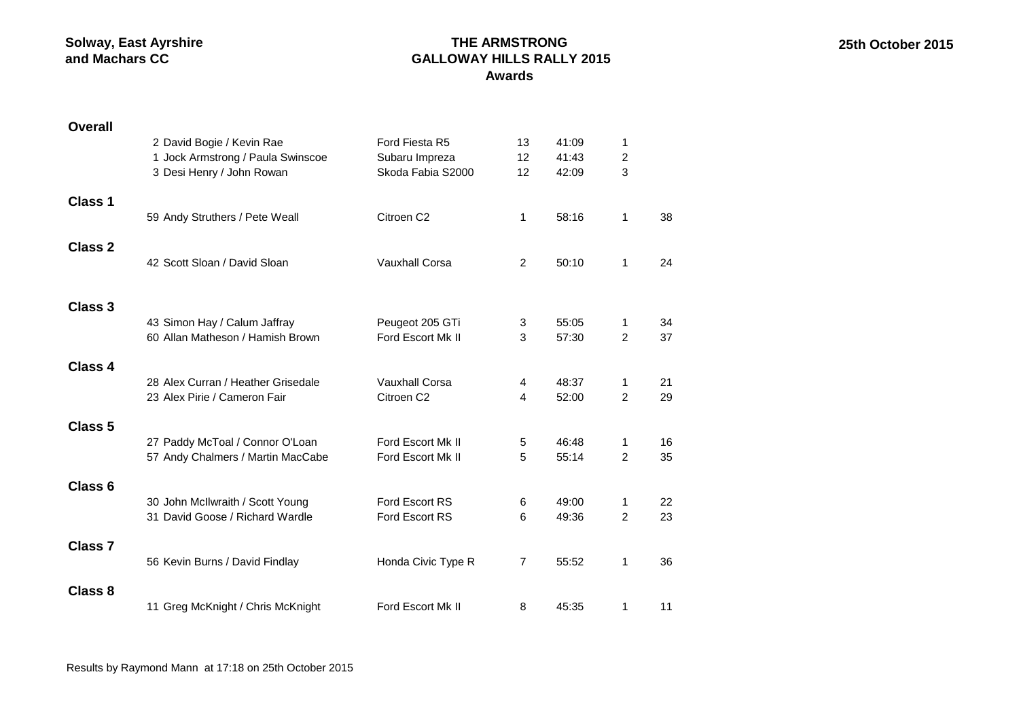#### **THE ARMSTRONG GALLOWAY HILLS RALLY 2015 Awards**

| <b>Overall</b>     |                                    |                       |                |       |                  |    |
|--------------------|------------------------------------|-----------------------|----------------|-------|------------------|----|
|                    | 2 David Bogie / Kevin Rae          | Ford Fiesta R5        | 13             | 41:09 | 1                |    |
|                    | 1 Jock Armstrong / Paula Swinscoe  | Subaru Impreza        | 12             | 41:43 | $\boldsymbol{2}$ |    |
|                    | 3 Desi Henry / John Rowan          | Skoda Fabia S2000     | 12             | 42:09 | 3                |    |
| <b>Class 1</b>     |                                    |                       |                |       |                  |    |
|                    | 59 Andy Struthers / Pete Weall     | Citroen C2            | 1              | 58:16 | 1                | 38 |
| <b>Class 2</b>     |                                    |                       |                |       |                  |    |
|                    | 42 Scott Sloan / David Sloan       | <b>Vauxhall Corsa</b> | $\overline{2}$ | 50:10 | 1                | 24 |
|                    |                                    |                       |                |       |                  |    |
| <b>Class 3</b>     |                                    |                       |                |       |                  |    |
|                    | 43 Simon Hay / Calum Jaffray       | Peugeot 205 GTi       | 3              | 55:05 | 1                | 34 |
|                    | 60 Allan Matheson / Hamish Brown   | Ford Escort Mk II     | 3              | 57:30 | $\overline{2}$   | 37 |
| <b>Class 4</b>     |                                    |                       |                |       |                  |    |
|                    | 28 Alex Curran / Heather Grisedale | <b>Vauxhall Corsa</b> | 4              | 48:37 | 1                | 21 |
|                    | 23 Alex Pirie / Cameron Fair       | Citroen C2            | 4              | 52:00 | $\overline{2}$   | 29 |
| <b>Class 5</b>     |                                    |                       |                |       |                  |    |
|                    | 27 Paddy McToal / Connor O'Loan    | Ford Escort Mk II     | 5              | 46:48 | 1                | 16 |
|                    | 57 Andy Chalmers / Martin MacCabe  | Ford Escort Mk II     | 5              | 55:14 | $\overline{2}$   | 35 |
| Class <sub>6</sub> |                                    |                       |                |       |                  |    |
|                    | 30 John McIlwraith / Scott Young   | Ford Escort RS        | 6              | 49:00 | 1                | 22 |
|                    | 31 David Goose / Richard Wardle    | Ford Escort RS        | 6              | 49:36 | $\overline{c}$   | 23 |
| <b>Class 7</b>     |                                    |                       |                |       |                  |    |
|                    | 56 Kevin Burns / David Findlay     | Honda Civic Type R    | 7              | 55:52 | 1                | 36 |
| <b>Class 8</b>     |                                    |                       |                |       |                  |    |
|                    | 11 Greg McKnight / Chris McKnight  | Ford Escort Mk II     | 8              | 45:35 | 1                | 11 |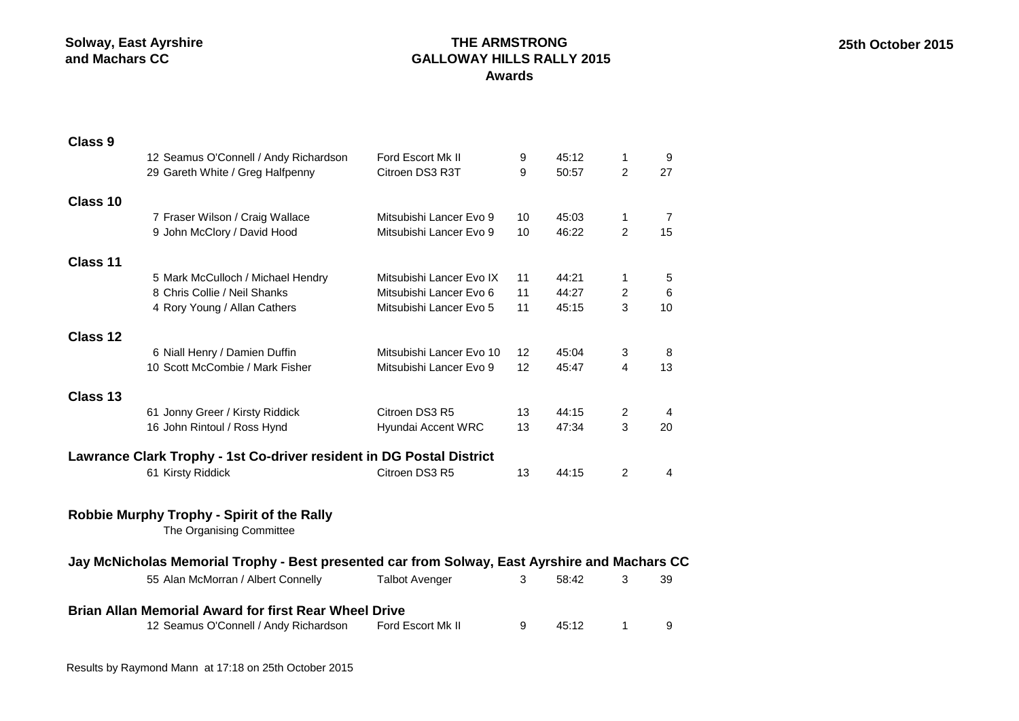#### **THE ARMSTRONG GALLOWAY HILLS RALLY 2015 Awards**

| Class 9         |                                                                                               |                          |                   |       |                |    |
|-----------------|-----------------------------------------------------------------------------------------------|--------------------------|-------------------|-------|----------------|----|
|                 | 12 Seamus O'Connell / Andy Richardson                                                         | Ford Escort Mk II        | 9                 | 45:12 | 1              | 9  |
|                 | 29 Gareth White / Greg Halfpenny                                                              | Citroen DS3 R3T          | 9                 | 50:57 | $\overline{2}$ | 27 |
| Class 10        |                                                                                               |                          |                   |       |                |    |
|                 | 7 Fraser Wilson / Craig Wallace                                                               | Mitsubishi Lancer Evo 9  | 10                | 45:03 | 1              | 7  |
|                 | 9 John McClory / David Hood                                                                   | Mitsubishi Lancer Evo 9  | 10                | 46:22 | $\overline{2}$ | 15 |
| <b>Class 11</b> |                                                                                               |                          |                   |       |                |    |
|                 | 5 Mark McCulloch / Michael Hendry                                                             | Mitsubishi Lancer Evo IX | 11                | 44:21 | 1              | 5  |
|                 | 8 Chris Collie / Neil Shanks                                                                  | Mitsubishi Lancer Evo 6  | 11                | 44:27 | 2              | 6  |
|                 | 4 Rory Young / Allan Cathers                                                                  | Mitsubishi Lancer Evo 5  | 11                | 45:15 | 3              | 10 |
| Class 12        |                                                                                               |                          |                   |       |                |    |
|                 | 6 Niall Henry / Damien Duffin                                                                 | Mitsubishi Lancer Evo 10 | $12 \overline{ }$ | 45:04 | 3              | 8  |
|                 | 10 Scott McCombie / Mark Fisher                                                               | Mitsubishi Lancer Evo 9  | 12                | 45:47 | 4              | 13 |
| Class 13        |                                                                                               |                          |                   |       |                |    |
|                 | 61 Jonny Greer / Kirsty Riddick                                                               | Citroen DS3 R5           | 13                | 44:15 | $\overline{2}$ | 4  |
|                 | 16 John Rintoul / Ross Hynd                                                                   | Hyundai Accent WRC       | 13                | 47:34 | 3              | 20 |
|                 | Lawrance Clark Trophy - 1st Co-driver resident in DG Postal District                          |                          |                   |       |                |    |
|                 | 61 Kirsty Riddick                                                                             | Citroen DS3 R5           | 13                | 44:15 | $\overline{2}$ | 4  |
|                 |                                                                                               |                          |                   |       |                |    |
|                 | <b>Robbie Murphy Trophy - Spirit of the Rally</b><br>The Organising Committee                 |                          |                   |       |                |    |
|                 | Jay McNicholas Memorial Trophy - Best presented car from Solway, East Ayrshire and Machars CC |                          |                   |       |                |    |
|                 | 55 Alan McMorran / Albert Connelly                                                            | <b>Talbot Avenger</b>    | 3                 | 58:42 | 3              | 39 |
|                 | <b>Brian Allan Memorial Award for first Rear Wheel Drive</b>                                  |                          |                   |       |                |    |
|                 | 12 Seamus O'Connell / Andy Richardson                                                         | Ford Escort Mk II        | 9                 | 45:12 | 1              | 9  |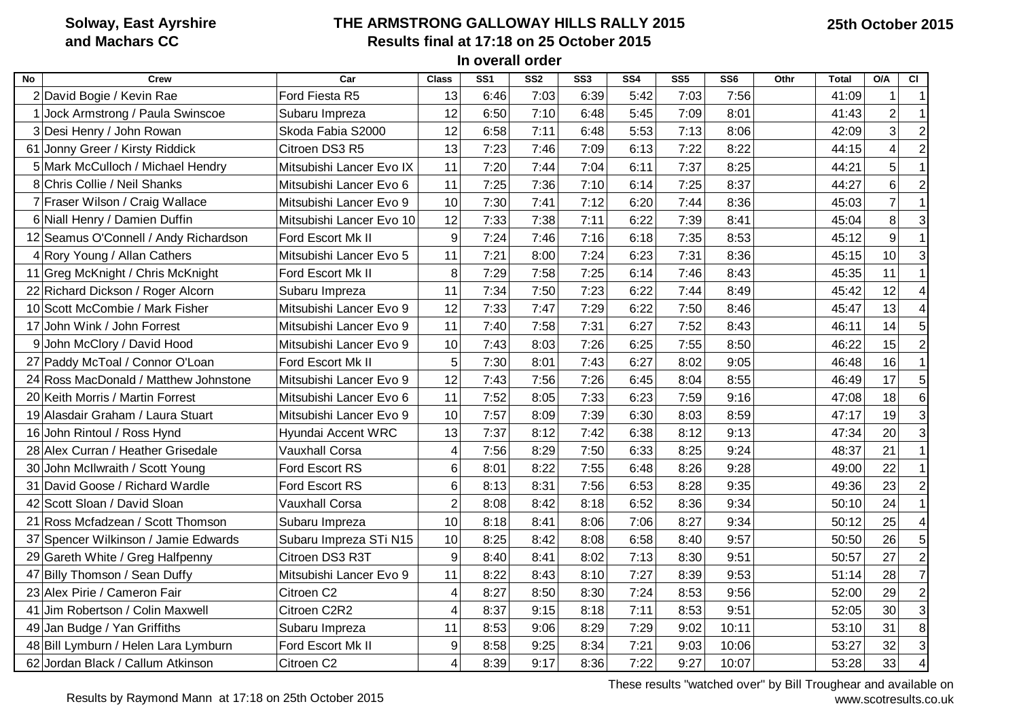## **THE ARMSTRONG GALLOWAY HILLS RALLY 2015 Results final at 17:18 on 25 October 2015 In overall order**

| <b>No</b><br>Crew                           | Car                      | <b>Class</b>     | SS <sub>1</sub> | SS <sub>2</sub> | SS <sub>3</sub> | SS <sub>4</sub> | SS <sub>5</sub> | SS <sub>6</sub> | Othr<br><b>Total</b> | O/A              | CI             |
|---------------------------------------------|--------------------------|------------------|-----------------|-----------------|-----------------|-----------------|-----------------|-----------------|----------------------|------------------|----------------|
| 2 David Bogie / Kevin Rae                   | Ford Fiesta R5           | 13               | 6:46            | 7:03            | 6:39            | 5:42            | 7:03            | 7:56            | 41:09                | 1                |                |
| 1 Jock Armstrong / Paula Swinscoe           | Subaru Impreza           | 12               | 6:50            | 7:10            | 6:48            | 5:45            | 7:09            | 8:01            | 41:43                | $\overline{2}$   |                |
| 3 Desi Henry / John Rowan                   | Skoda Fabia S2000        | 12               | 6:58            | 7:11            | 6:48            | 5:53            | 7:13            | 8:06            | 42:09                | 3                | $\overline{2}$ |
| 61 Jonny Greer / Kirsty Riddick             | Citroen DS3 R5           | 13               | 7:23            | 7:46            | 7:09            | 6:13            | 7:22            | 8:22            | 44:15                | $\overline{4}$   | $\overline{2}$ |
| 5 Mark McCulloch / Michael Hendry           | Mitsubishi Lancer Evo IX | 11               | 7:20            | 7:44            | 7:04            | 6:11            | 7:37            | 8:25            | 44:21                | 5                |                |
| 8 Chris Collie / Neil Shanks                | Mitsubishi Lancer Evo 6  | 11               | 7:25            | 7:36            | 7:10            | 6:14            | 7:25            | 8:37            | 44:27                | $6\phantom{1}6$  | $\overline{c}$ |
| 7 Fraser Wilson / Craig Wallace             | Mitsubishi Lancer Evo 9  | 10               | 7:30            | 7:41            | 7:12            | 6:20            | 7:44            | 8:36            | 45:03                | $\overline{7}$   | 1              |
| 6 Niall Henry / Damien Duffin               | Mitsubishi Lancer Evo 10 | 12               | 7:33            | 7:38            | 7:11            | 6:22            | 7:39            | 8:41            | 45:04                | 8                | 3              |
| 12 Seamus O'Connell / Andy Richardson       | Ford Escort Mk II        | 9                | 7:24            | 7:46            | 7:16            | 6:18            | 7:35            | 8:53            | 45:12                | $\boldsymbol{9}$ |                |
| 4 Rory Young / Allan Cathers                | Mitsubishi Lancer Evo 5  | 11               | 7:21            | 8:00            | 7:24            | 6:23            | 7:31            | 8:36            | 45:15                | 10               | 3              |
| 11 Greg McKnight / Chris McKnight           | Ford Escort Mk II        | 8                | 7:29            | 7:58            | 7:25            | 6:14            | 7:46            | 8:43            | 45:35                | 11               | 1              |
| 22 Richard Dickson / Roger Alcorn           | Subaru Impreza           | 11               | 7:34            | 7:50            | 7:23            | 6:22            | 7:44            | 8:49            | 45:42                | 12               | 4              |
| 10 Scott McCombie / Mark Fisher             | Mitsubishi Lancer Evo 9  | 12               | 7:33            | 7:47            | 7:29            | 6:22            | 7:50            | 8:46            | 45:47                | 13               | 4              |
| John Wink / John Forrest<br>17 <sup>1</sup> | Mitsubishi Lancer Evo 9  | 11               | 7:40            | 7:58            | 7:31            | 6:27            | 7:52            | 8:43            | 46:11                | 14               | 5              |
| John McClory / David Hood<br>9              | Mitsubishi Lancer Evo 9  | 10               | 7:43            | 8:03            | 7:26            | 6:25            | 7:55            | 8:50            | 46:22                | 15               | $\overline{c}$ |
| 27 Paddy McToal / Connor O'Loan             | Ford Escort Mk II        | 5                | 7:30            | 8:01            | 7:43            | 6:27            | 8:02            | 9:05            | 46:48                | 16               | 1              |
| 24 Ross MacDonald / Matthew Johnstone       | Mitsubishi Lancer Evo 9  | 12               | 7:43            | 7:56            | 7:26            | 6:45            | 8:04            | 8:55            | 46:49                | 17               | 5              |
| 20 Keith Morris / Martin Forrest            | Mitsubishi Lancer Evo 6  | 11               | 7:52            | 8:05            | 7:33            | 6:23            | 7:59            | 9:16            | 47:08                | 18               | 6              |
| 19 Alasdair Graham / Laura Stuart           | Mitsubishi Lancer Evo 9  | 10               | 7:57            | 8:09            | 7:39            | 6:30            | 8:03            | 8:59            | 47:17                | 19               | $\overline{3}$ |
| 16 John Rintoul / Ross Hynd                 | Hyundai Accent WRC       | 13               | 7:37            | 8:12            | 7:42            | 6:38            | 8:12            | 9:13            | 47:34                | 20               | 3              |
| 28 Alex Curran / Heather Grisedale          | <b>Vauxhall Corsa</b>    | 4                | 7:56            | 8:29            | 7:50            | 6:33            | 8:25            | 9:24            | 48:37                | 21               | $\mathbf{1}$   |
| 30 John McIlwraith / Scott Young            | Ford Escort RS           | 6                | 8:01            | 8:22            | 7:55            | 6:48            | 8:26            | 9:28            | 49:00                | 22               |                |
| 31 David Goose / Richard Wardle             | Ford Escort RS           | 6                | 8:13            | 8:31            | 7:56            | 6:53            | 8:28            | 9:35            | 49:36                | 23               | $\overline{2}$ |
| 42 Scott Sloan / David Sloan                | <b>Vauxhall Corsa</b>    | $\overline{2}$   | 8:08            | 8:42            | 8:18            | 6:52            | 8:36            | 9:34            | 50:10                | 24               |                |
| 21 Ross Mcfadzean / Scott Thomson           | Subaru Impreza           | 10 <sup>1</sup>  | 8:18            | 8:41            | 8:06            | 7:06            | 8:27            | 9:34            | 50:12                | 25               | 4              |
| 37 Spencer Wilkinson / Jamie Edwards        | Subaru Impreza STi N15   | 10               | 8:25            | 8:42            | 8:08            | 6:58            | 8:40            | 9:57            | 50:50                | 26               | 5              |
| 29 Gareth White / Greg Halfpenny            | Citroen DS3 R3T          | $\boldsymbol{9}$ | 8:40            | 8:41            | 8:02            | 7:13            | 8:30            | 9:51            | 50:57                | 27               | $\overline{2}$ |
| 47 Billy Thomson / Sean Duffy               | Mitsubishi Lancer Evo 9  | 11               | 8:22            | 8:43            | 8:10            | 7:27            | 8:39            | 9:53            | 51:14                | 28               | $\overline{7}$ |
| 23 Alex Pirie / Cameron Fair                | Citroen C <sub>2</sub>   | 4                | 8:27            | 8:50            | 8:30            | 7:24            | 8:53            | 9:56            | 52:00                | 29               | $\overline{2}$ |
| Jim Robertson / Colin Maxwell<br>41         | Citroen C2R2             | 4                | 8:37            | 9:15            | 8:18            | 7:11            | 8:53            | 9:51            | 52:05                | 30               | $\overline{3}$ |
| 49 Jan Budge / Yan Griffiths                | Subaru Impreza           | 11               | 8:53            | 9:06            | 8:29            | 7:29            | 9:02            | 10:11           | 53:10                | 31               | $\overline{8}$ |
| 48 Bill Lymburn / Helen Lara Lymburn        | Ford Escort Mk II        | 9                | 8:58            | 9:25            | 8:34            | 7:21            | 9:03            | 10:06           | 53:27                | 32               | 3              |
| 62 Jordan Black / Callum Atkinson           | Citroen C2               | 4                | 8:39            | 9:17            | 8:36            | 7:22            | 9:27            | 10:07           | 53:28                | 33               | 4              |

These results "watched over" by Bill Troughear and available on www.scotresults.co.uk

Results by Raymond Mann at 17:18 on 25th October 2015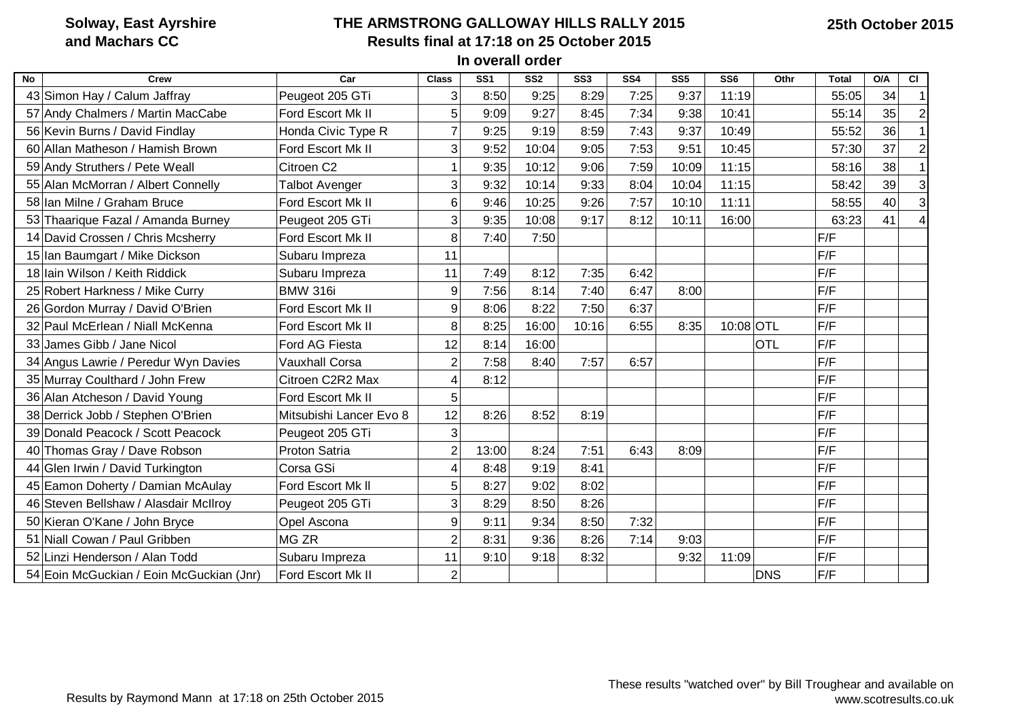**Solway, East Ayrshire and Machars CC**

## **THE ARMSTRONG GALLOWAY HILLS RALLY 2015 Results final at 17:18 on 25 October 2015 In overall order**

| No | Crew                                     | Car                     | <b>Class</b>   | SS <sub>1</sub> | SS <sub>2</sub> | SS <sub>3</sub> | SS <sub>4</sub> | SS <sub>5</sub> | SS <sub>6</sub> | Othr       | <b>Total</b> | O/A | <b>CI</b>      |
|----|------------------------------------------|-------------------------|----------------|-----------------|-----------------|-----------------|-----------------|-----------------|-----------------|------------|--------------|-----|----------------|
|    | 43 Simon Hay / Calum Jaffray             | Peugeot 205 GTi         | 3              | 8:50            | 9:25            | 8:29            | 7:25            | 9:37            | 11:19           |            | 55:05        | 34  |                |
|    | 57 Andy Chalmers / Martin MacCabe        | Ford Escort Mk II       | 5              | 9:09            | 9:27            | 8:45            | 7:34            | 9:38            | 10:41           |            | 55:14        | 35  | $\overline{2}$ |
|    | 56 Kevin Burns / David Findlay           | Honda Civic Type R      |                | 9:25            | 9:19            | 8:59            | 7:43            | 9:37            | 10:49           |            | 55:52        | 36  |                |
|    | 60 Allan Matheson / Hamish Brown         | Ford Escort Mk II       | 3              | 9:52            | 10:04           | 9:05            | 7:53            | 9:51            | 10:45           |            | 57:30        | 37  | $\overline{2}$ |
|    | 59 Andy Struthers / Pete Weall           | Citroen C2              |                | 9:35            | 10:12           | 9:06            | 7:59            | 10:09           | 11:15           |            | 58:16        | 38  | 1              |
|    | 55 Alan McMorran / Albert Connelly       | <b>Talbot Avenger</b>   | 3              | 9:32            | 10:14           | 9:33            | 8:04            | 10:04           | 11:15           |            | 58:42        | 39  | 3              |
|    | 58 Ian Milne / Graham Bruce              | Ford Escort Mk II       | 6              | 9:46            | 10:25           | 9:26            | 7:57            | 10:10           | 11:11           |            | 58:55        | 40  | $\overline{3}$ |
|    | 53 Thaarique Fazal / Amanda Burney       | Peugeot 205 GTi         | 3              | 9:35            | 10:08           | 9:17            | 8:12            | 10:11           | 16:00           |            | 63:23        | 41  | 4              |
|    | 14 David Crossen / Chris Mcsherry        | Ford Escort Mk II       | 8              | 7:40            | 7:50            |                 |                 |                 |                 |            | F/F          |     |                |
|    | 15 Ian Baumgart / Mike Dickson           | Subaru Impreza          | 11             |                 |                 |                 |                 |                 |                 |            | F/F          |     |                |
|    | 18 Iain Wilson / Keith Riddick           | Subaru Impreza          | 11             | 7:49            | 8:12            | 7:35            | 6:42            |                 |                 |            | F/F          |     |                |
|    | 25 Robert Harkness / Mike Curry          | <b>BMW 316i</b>         | 9              | 7:56            | 8:14            | 7:40            | 6:47            | 8:00            |                 |            | F/F          |     |                |
|    | 26 Gordon Murray / David O'Brien         | Ford Escort Mk II       | 9              | 8:06            | 8:22            | 7:50            | 6:37            |                 |                 |            | F/F          |     |                |
|    | 32 Paul McErlean / Niall McKenna         | Ford Escort Mk II       | 8              | 8:25            | 16:00           | 10:16           | 6:55            | 8:35            | 10:08 OTL       |            | F/F          |     |                |
|    | 33 James Gibb / Jane Nicol               | Ford AG Fiesta          | 12             | 8:14            | 16:00           |                 |                 |                 |                 | <b>OTL</b> | F/F          |     |                |
|    | 34 Angus Lawrie / Peredur Wyn Davies     | <b>Vauxhall Corsa</b>   | $\overline{2}$ | 7:58            | 8:40            | 7:57            | 6:57            |                 |                 |            | F/F          |     |                |
|    | 35 Murray Coulthard / John Frew          | Citroen C2R2 Max        |                | 8:12            |                 |                 |                 |                 |                 |            | F/F          |     |                |
|    | 36 Alan Atcheson / David Young           | Ford Escort Mk II       | 5              |                 |                 |                 |                 |                 |                 |            | F/F          |     |                |
|    | 38 Derrick Jobb / Stephen O'Brien        | Mitsubishi Lancer Evo 8 | 12             | 8:26            | 8:52            | 8:19            |                 |                 |                 |            | F/F          |     |                |
|    | 39 Donald Peacock / Scott Peacock        | Peugeot 205 GTi         | 3              |                 |                 |                 |                 |                 |                 |            | F/F          |     |                |
|    | 40 Thomas Gray / Dave Robson             | Proton Satria           | $\overline{2}$ | 13:00           | 8:24            | 7:51            | 6:43            | 8:09            |                 |            | F/F          |     |                |
|    | 44 Glen Irwin / David Turkington         | Corsa GSi               |                | 8:48            | 9:19            | 8:41            |                 |                 |                 |            | F/F          |     |                |
|    | 45 Eamon Doherty / Damian McAulay        | Ford Escort Mk II       | 5              | 8:27            | 9:02            | 8:02            |                 |                 |                 |            | F/F          |     |                |
|    | 46 Steven Bellshaw / Alasdair McIlroy    | Peugeot 205 GTi         | 3              | 8:29            | 8:50            | 8:26            |                 |                 |                 |            | F/F          |     |                |
|    | 50 Kieran O'Kane / John Bryce            | Opel Ascona             | 9              | 9:11            | 9:34            | 8:50            | 7:32            |                 |                 |            | F/F          |     |                |
|    | 51 Niall Cowan / Paul Gribben            | MG ZR                   | $\overline{2}$ | 8:31            | 9:36            | 8:26            | 7:14            | 9:03            |                 |            | F/F          |     |                |
|    | 52 Linzi Henderson / Alan Todd           | Subaru Impreza          | 11             | 9:10            | 9:18            | 8:32            |                 | 9:32            | 11:09           |            | F/F          |     |                |
|    | 54 Eoin McGuckian / Eoin McGuckian (Jnr) | Ford Escort Mk II       | $\overline{2}$ |                 |                 |                 |                 |                 |                 | <b>DNS</b> | F/F          |     |                |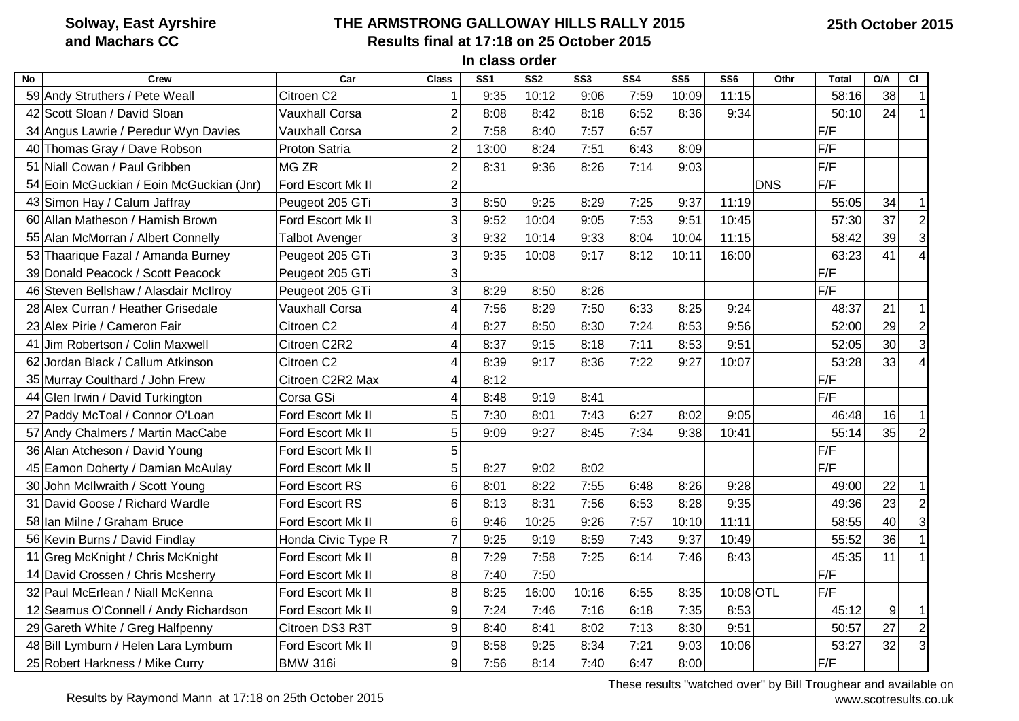**Solway, East Ayrshire and Machars CC**

# **THE ARMSTRONG GALLOWAY HILLS RALLY 2015 Results final at 17:18 on 25 October 2015**

**In class order**

| <b>No</b><br><b>Crew</b>                 | Car                    | <b>Class</b>   | SS <sub>1</sub> | SS <sub>2</sub> | SS <sub>3</sub> | SS <sub>4</sub> | SS <sub>5</sub> | SS <sub>6</sub> | Othr       | <b>Total</b> | CI<br>O/A |                |
|------------------------------------------|------------------------|----------------|-----------------|-----------------|-----------------|-----------------|-----------------|-----------------|------------|--------------|-----------|----------------|
| 59 Andy Struthers / Pete Weall           | Citroen C <sub>2</sub> |                | 9:35            | 10:12           | 9:06            | 7:59            | 10:09           | 11:15           |            | 58:16        | 38        | $\overline{1}$ |
| 42 Scott Sloan / David Sloan             | <b>Vauxhall Corsa</b>  | $\overline{2}$ | 8:08            | 8:42            | 8:18            | 6:52            | 8:36            | 9:34            |            | 50:10        | 24        | $\vert$ 1      |
| 34 Angus Lawrie / Peredur Wyn Davies     | <b>Vauxhall Corsa</b>  | $\overline{2}$ | 7:58            | 8:40            | 7:57            | 6:57            |                 |                 |            | F/F          |           |                |
| 40 Thomas Gray / Dave Robson             | Proton Satria          | $\overline{2}$ | 13:00           | 8:24            | 7:51            | 6:43            | 8:09            |                 |            | F/F          |           |                |
| 51 Niall Cowan / Paul Gribben            | MG ZR                  | 2              | 8:31            | 9:36            | 8:26            | 7:14            | 9:03            |                 |            | F/F          |           |                |
| 54 Eoin McGuckian / Eoin McGuckian (Jnr) | Ford Escort Mk II      | $\overline{2}$ |                 |                 |                 |                 |                 |                 | <b>DNS</b> | F/F          |           |                |
| 43 Simon Hay / Calum Jaffray             | Peugeot 205 GTi        | 3              | 8:50            | 9:25            | 8:29            | 7:25            | 9:37            | 11:19           |            | 55:05        | 34        | $\vert$ 1      |
| 60 Allan Matheson / Hamish Brown         | Ford Escort Mk II      | 3              | 9:52            | 10:04           | 9:05            | 7:53            | 9:51            | 10:45           |            | 57:30        | 37        | $\overline{2}$ |
| 55 Alan McMorran / Albert Connelly       | <b>Talbot Avenger</b>  | 3              | 9:32            | 10:14           | 9:33            | 8:04            | 10:04           | 11:15           |            | 58:42        | 39        | 3 <sup>1</sup> |
| 53 Thaarique Fazal / Amanda Burney       | Peugeot 205 GTi        | 3              | 9:35            | 10:08           | 9:17            | 8:12            | 10:11           | 16:00           |            | 63:23        | 41        | $\overline{4}$ |
| 39 Donald Peacock / Scott Peacock        | Peugeot 205 GTi        | 3              |                 |                 |                 |                 |                 |                 |            | F/F          |           |                |
| 46 Steven Bellshaw / Alasdair McIlroy    | Peugeot 205 GTi        | 3              | 8:29            | 8:50            | 8:26            |                 |                 |                 |            | F/F          |           |                |
| 28 Alex Curran / Heather Grisedale       | <b>Vauxhall Corsa</b>  | 4              | 7:56            | 8:29            | 7:50            | 6:33            | 8:25            | 9:24            |            | 48:37        | 21        | 1              |
| 23 Alex Pirie / Cameron Fair             | Citroen C2             | 4              | 8:27            | 8:50            | 8:30            | 7:24            | 8:53            | 9:56            |            | 52:00        | 29        | $\overline{2}$ |
| Jim Robertson / Colin Maxwell<br>41      | Citroen C2R2           | 4              | 8:37            | 9:15            | 8:18            | 7:11            | 8:53            | 9:51            |            | 52:05        | 30        | $\overline{3}$ |
| 62 Jordan Black / Callum Atkinson        | Citroen C2             | 4              | 8:39            | 9:17            | 8:36            | 7:22            | 9:27            | 10:07           |            | 53:28        | 33        | $\overline{4}$ |
| 35 Murray Coulthard / John Frew          | Citroen C2R2 Max       | 4              | 8:12            |                 |                 |                 |                 |                 |            | F/F          |           |                |
| 44 Glen Irwin / David Turkington         | Corsa GSi              | 4              | 8:48            | 9:19            | 8:41            |                 |                 |                 |            | F/F          |           |                |
| 27 Paddy McToal / Connor O'Loan          | Ford Escort Mk II      | 5              | 7:30            | 8:01            | 7:43            | 6:27            | 8:02            | 9:05            |            | 46:48        | 16        | $\mathbf{1}$   |
| 57 Andy Chalmers / Martin MacCabe        | Ford Escort Mk II      | 5              | 9:09            | 9:27            | 8:45            | 7:34            | 9:38            | 10:41           |            | 55:14        | 35        | $\overline{2}$ |
| 36 Alan Atcheson / David Young           | Ford Escort Mk II      | 5              |                 |                 |                 |                 |                 |                 |            | F/F          |           |                |
| 45 Eamon Doherty / Damian McAulay        | Ford Escort Mk II      | 5              | 8:27            | 9:02            | 8:02            |                 |                 |                 |            | F/F          |           |                |
| 30 John McIlwraith / Scott Young         | Ford Escort RS         | 6              | 8:01            | 8:22            | 7:55            | 6:48            | 8:26            | 9:28            |            | 49:00        | 22        | 1              |
| 31 David Goose / Richard Wardle          | Ford Escort RS         | 6              | 8:13            | 8:31            | 7:56            | 6:53            | 8:28            | 9:35            |            | 49:36        | 23        | $\overline{c}$ |
| 58 Ian Milne / Graham Bruce              | Ford Escort Mk II      | 6              | 9:46            | 10:25           | 9:26            | 7:57            | 10:10           | 11:11           |            | 58:55        | 40        | $\overline{3}$ |
| 56 Kevin Burns / David Findlay           | Honda Civic Type R     | $\overline{7}$ | 9:25            | 9:19            | 8:59            | 7:43            | 9:37            | 10:49           |            | 55:52        | 36        | $\vert$ 1      |
| 11 Greg McKnight / Chris McKnight        | Ford Escort Mk II      | 8              | 7:29            | 7:58            | 7:25            | 6:14            | 7:46            | 8:43            |            | 45:35        | 11        | $\mathbf{1}$   |
| 14 David Crossen / Chris Mcsherry        | Ford Escort Mk II      | 8              | 7:40            | 7:50            |                 |                 |                 |                 |            | F/F          |           |                |
| 32 Paul McErlean / Niall McKenna         | Ford Escort Mk II      | 8              | 8:25            | 16:00           | 10:16           | 6:55            | 8:35            | 10:08 OTL       |            | F/F          |           |                |
| 12 Seamus O'Connell / Andy Richardson    | Ford Escort Mk II      | 9              | 7:24            | 7:46            | 7:16            | 6:18            | 7:35            | 8:53            |            | 45:12        | 9         | $\mathbf{1}$   |
| 29 Gareth White / Greg Halfpenny         | Citroen DS3 R3T        | 9              | 8:40            | 8:41            | 8:02            | 7:13            | 8:30            | 9:51            |            | 50:57        | 27        | $\overline{2}$ |
| 48 Bill Lymburn / Helen Lara Lymburn     | Ford Escort Mk II      | 9              | 8:58            | 9:25            | 8:34            | 7:21            | 9:03            | 10:06           |            | 53:27        | 32        | 3 <sup>1</sup> |
| 25 Robert Harkness / Mike Curry          | <b>BMW 316i</b>        | 9              | 7:56            | 8:14            | 7:40            | 6:47            | 8:00            |                 |            | F/F          |           |                |

These results "watched over" by Bill Troughear and available on www.scotresults.co.uk

Results by Raymond Mann at 17:18 on 25th October 2015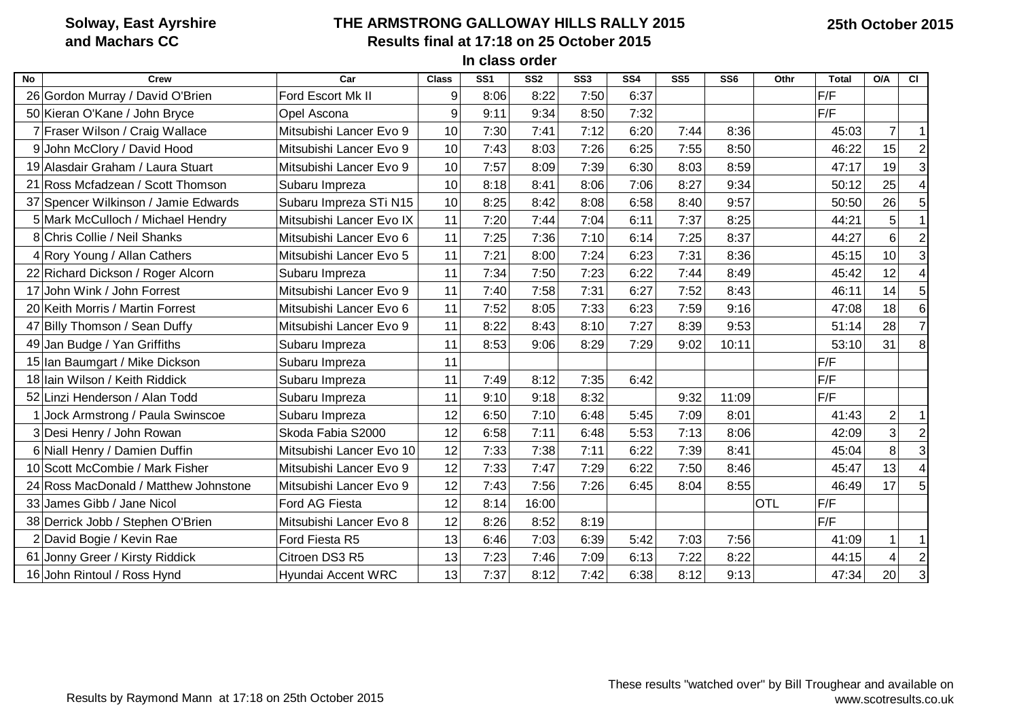## **THE ARMSTRONG GALLOWAY HILLS RALLY 2015 Results final at 17:18 on 25 October 2015 In class order**

| <b>No</b><br><b>Crew</b>              | Car                      | <b>Class</b> | SS <sub>1</sub> | SS <sub>2</sub> | SS <sub>3</sub> | SS <sub>4</sub> | SS <sub>5</sub> | SS <sub>6</sub> | Othr       | <b>Total</b> | O/A            | <b>CI</b>      |
|---------------------------------------|--------------------------|--------------|-----------------|-----------------|-----------------|-----------------|-----------------|-----------------|------------|--------------|----------------|----------------|
| 26 Gordon Murray / David O'Brien      | Ford Escort Mk II        | 9            | 8:06            | 8:22            | 7:50            | 6:37            |                 |                 |            | F/F          |                |                |
| 50 Kieran O'Kane / John Bryce         | Opel Ascona              | 9            | 9:11            | 9:34            | 8:50            | 7:32            |                 |                 |            | F/F          |                |                |
| 7 Fraser Wilson / Craig Wallace       | Mitsubishi Lancer Evo 9  | 10           | 7:30            | 7:41            | 7:12            | 6:20            | 7:44            | 8:36            |            | 45:03        | $\overline{7}$ | $\mathbf 1$    |
| 9 John McClory / David Hood           | Mitsubishi Lancer Evo 9  | 10           | 7:43            | 8:03            | 7:26            | 6:25            | 7:55            | 8:50            |            | 46:22        | 15             | $\overline{2}$ |
| 19 Alasdair Graham / Laura Stuart     | Mitsubishi Lancer Evo 9  | 10           | 7:57            | 8:09            | 7:39            | 6:30            | 8:03            | 8:59            |            | 47:17        | 19             | 3              |
| 21 Ross Mcfadzean / Scott Thomson     | Subaru Impreza           | 10           | 8:18            | 8:41            | 8:06            | 7:06            | 8:27            | 9:34            |            | 50:12        | 25             | $\overline{4}$ |
| 37 Spencer Wilkinson / Jamie Edwards  | Subaru Impreza STi N15   | 10           | 8:25            | 8:42            | 8:08            | 6:58            | 8:40            | 9:57            |            | 50:50        | 26             | 5              |
| 5 Mark McCulloch / Michael Hendry     | Mitsubishi Lancer Evo IX | 11           | 7:20            | 7:44            | 7:04            | 6:11            | 7:37            | 8:25            |            | 44:21        | 5              |                |
| 8 Chris Collie / Neil Shanks          | Mitsubishi Lancer Evo 6  | 11           | 7:25            | 7:36            | 7:10            | 6:14            | 7:25            | 8:37            |            | 44:27        | 6              | $\overline{2}$ |
| 4 Rory Young / Allan Cathers          | Mitsubishi Lancer Evo 5  | 11           | 7:21            | 8:00            | 7:24            | 6:23            | 7:31            | 8:36            |            | 45:15        | 10             | 3              |
| 22 Richard Dickson / Roger Alcorn     | Subaru Impreza           | 11           | 7:34            | 7:50            | 7:23            | 6:22            | 7:44            | 8:49            |            | 45:42        | 12             | $\overline{4}$ |
| 17 John Wink / John Forrest           | Mitsubishi Lancer Evo 9  | 11           | 7:40            | 7:58            | 7:31            | 6:27            | 7:52            | 8:43            |            | 46:11        | 14             | 5              |
| 20 Keith Morris / Martin Forrest      | Mitsubishi Lancer Evo 6  | 11           | 7:52            | 8:05            | 7:33            | 6:23            | 7:59            | 9:16            |            | 47:08        | 18             | 6              |
| 47 Billy Thomson / Sean Duffy         | Mitsubishi Lancer Evo 9  | 11           | 8:22            | 8:43            | 8:10            | 7:27            | 8:39            | 9:53            |            | 51:14        | 28             | $\overline{7}$ |
| 49 Jan Budge / Yan Griffiths          | Subaru Impreza           | 11           | 8:53            | 9:06            | 8:29            | 7:29            | 9:02            | 10:11           |            | 53:10        | 31             | 8              |
| 15 Ian Baumgart / Mike Dickson        | Subaru Impreza           | 11           |                 |                 |                 |                 |                 |                 |            | F/F          |                |                |
| 18 Iain Wilson / Keith Riddick        | Subaru Impreza           | 11           | 7:49            | 8:12            | 7:35            | 6:42            |                 |                 |            | F/F          |                |                |
| 52 Linzi Henderson / Alan Todd        | Subaru Impreza           | 11           | 9:10            | 9:18            | 8:32            |                 | 9:32            | 11:09           |            | F/F          |                |                |
| Jock Armstrong / Paula Swinscoe       | Subaru Impreza           | 12           | 6:50            | 7:10            | 6:48            | 5:45            | 7:09            | 8:01            |            | 41:43        | $\overline{2}$ | $\mathbf{1}$   |
| 3 Desi Henry / John Rowan             | Skoda Fabia S2000        | 12           | 6:58            | 7:11            | 6:48            | 5:53            | 7:13            | 8:06            |            | 42:09        | $\mathfrak{B}$ | $\overline{2}$ |
| 6 Niall Henry / Damien Duffin         | Mitsubishi Lancer Evo 10 | 12           | 7:33            | 7:38            | 7:11            | 6:22            | 7:39            | 8:41            |            | 45:04        | 8              | 3              |
| 10 Scott McCombie / Mark Fisher       | Mitsubishi Lancer Evo 9  | 12           | 7:33            | 7:47            | 7:29            | 6:22            | 7:50            | 8:46            |            | 45:47        | 13             | 4              |
| 24 Ross MacDonald / Matthew Johnstone | Mitsubishi Lancer Evo 9  | 12           | 7:43            | 7:56            | 7:26            | 6:45            | 8:04            | 8:55            |            | 46:49        | 17             | 5              |
| 33 James Gibb / Jane Nicol            | Ford AG Fiesta           | 12           | 8:14            | 16:00           |                 |                 |                 |                 | <b>OTL</b> | F/F          |                |                |
| 38 Derrick Jobb / Stephen O'Brien     | Mitsubishi Lancer Evo 8  | 12           | 8:26            | 8:52            | 8:19            |                 |                 |                 |            | F/F          |                |                |
| 2 David Bogie / Kevin Rae             | Ford Fiesta R5           | 13           | 6:46            | 7:03            | 6:39            | 5:42            | 7:03            | 7:56            |            | 41:09        | 1              | $\mathbf{1}$   |
| 61 Jonny Greer / Kirsty Riddick       | Citroen DS3 R5           | 13           | 7:23            | 7:46            | 7:09            | 6:13            | 7:22            | 8:22            |            | 44:15        | 4              | $\overline{2}$ |
| 16 John Rintoul / Ross Hynd           | Hyundai Accent WRC       | 13           | 7:37            | 8:12            | 7:42            | 6:38            | 8:12            | 9:13            |            | 47:34        | 20             | 3              |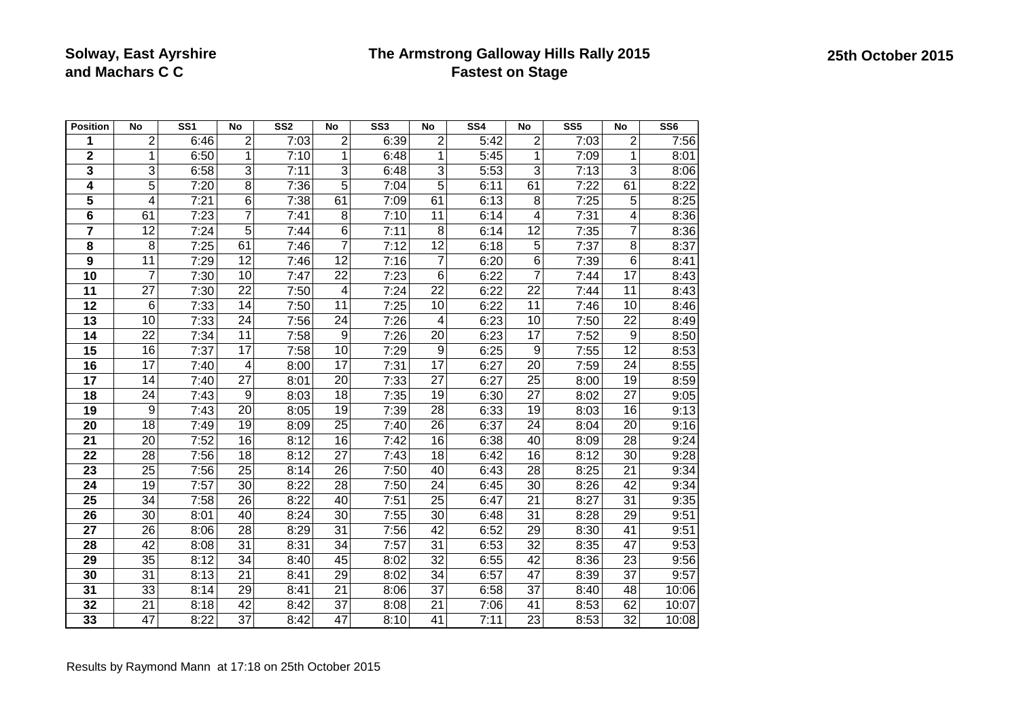| <b>Position</b>         | <b>No</b>       | SS <sub>1</sub> | <b>No</b>       | SS <sub>2</sub> | <b>No</b>       | $\overline{\text{SS3}}$ | <b>No</b>       | SS <sub>4</sub> | <b>No</b>       | SS <sub>5</sub> | <b>No</b>       | SS <sub>6</sub> |
|-------------------------|-----------------|-----------------|-----------------|-----------------|-----------------|-------------------------|-----------------|-----------------|-----------------|-----------------|-----------------|-----------------|
| 1                       | 2               | 6:46            | $\overline{2}$  | 7:03            | $\overline{2}$  | 6:39                    | $\overline{2}$  | 5:42            | $\overline{2}$  | 7:03            | $\overline{2}$  | 7:56            |
| $\mathbf 2$             | 1               | 6:50            | 1               | 7:10            | $\overline{1}$  | 6:48                    | 1               | 5:45            | 1               | 7:09            | $\mathbf{1}$    | 8:01            |
| 3                       | 3               | 6:58            | 3               | 7:11            | 3               | 6:48                    | 3               | 5:53            | 3               | 7:13            | 3               | 8:06            |
| 4                       | 5               | 7:20            | 8               | 7:36            | $\overline{5}$  | 7:04                    | 5               | 6:11            | $\overline{61}$ | 7:22            | 61              | 8:22            |
| $\overline{5}$          | $\overline{4}$  | 7:21            | 6               | 7:38            | 61              | 7:09                    | 61              | 6:13            | 8               | 7:25            | $\overline{5}$  | 8:25            |
| $\overline{\mathbf{6}}$ | 61              | 7:23            | 7               | 7:41            | $\overline{8}$  | 7:10                    | 11              | 6:14            | 4               | 7:31            | 4               | 8:36            |
| $\overline{7}$          | $\overline{12}$ | 7:24            | $\overline{5}$  | 7:44            | $\overline{6}$  | 7:11                    | 8               | 6:14            | $\overline{12}$ | 7:35            | $\overline{7}$  | 8:36            |
| 8                       | $\overline{8}$  | 7:25            | 61              | 7:46            | $\overline{7}$  | 7:12                    | $\overline{12}$ | 6:18            | 5               | 7:37            | $\overline{8}$  | 8:37            |
| $\overline{9}$          | $\overline{11}$ | 7:29            | 12              | 7:46            | $\overline{12}$ | 7:16                    | $\overline{7}$  | 6:20            | $\overline{6}$  | 7:39            | $\overline{6}$  | 8:41            |
| 10                      | $\overline{7}$  | 7:30            | 10              | 7:47            | $\overline{22}$ | 7:23                    | $\overline{6}$  | 6:22            | 7               | 7:44            | $\overline{17}$ | 8:43            |
| 11                      | $\overline{27}$ | 7:30            | $\overline{22}$ | 7:50            | $\overline{4}$  | 7:24                    | $\overline{22}$ | 6:22            | $\overline{22}$ | 7:44            | 11              | 8:43            |
| $\overline{12}$         | $\overline{6}$  | 7:33            | 14              | 7:50            | $\overline{11}$ | 7:25                    | 10              | 6:22            | $\overline{11}$ | 7:46            | 10              | 8:46            |
| $\overline{13}$         | 10              | 7:33            | 24              | 7:56            | 24              | 7:26                    | 4               | 6:23            | 10              | 7:50            | $\overline{22}$ | 8:49            |
| 14                      | $\overline{22}$ | 7:34            | $\overline{11}$ | 7:58            | $\overline{9}$  | 7:26                    | $\overline{20}$ | 6:23            | $\overline{17}$ | 7:52            | $\overline{9}$  | 8:50            |
| 15                      | $\overline{16}$ | 7:37            | $\overline{17}$ | 7:58            | 10              | 7:29                    | 9               | 6:25            | $\overline{9}$  | 7:55            | $\overline{12}$ | 8:53            |
| 16                      | $\overline{17}$ | 7:40            | 4               | 8:00            | 17              | 7:31                    | $\overline{17}$ | 6:27            | 20              | 7:59            | 24              | 8:55            |
| $\overline{17}$         | 14              | 7:40            | 27              | 8:01            | 20              | 7:33                    | $\overline{27}$ | 6:27            | $\overline{25}$ | 8:00            | 19              | 8:59            |
| $\overline{18}$         | 24              | 7:43            | $\overline{9}$  | 8:03            | $\overline{18}$ | 7:35                    | 19              | 6:30            | $\overline{27}$ | 8:02            | 27              | 9:05            |
| 19                      | $\overline{9}$  | 7:43            | $\overline{20}$ | 8:05            | $\overline{19}$ | 7:39                    | $\overline{28}$ | 6:33            | 19              | 8:03            | 16              | 9:13            |
| $\overline{20}$         | $\overline{18}$ | 7:49            | $\overline{19}$ | 8:09            | $\overline{25}$ | 7:40                    | 26              | 6:37            | $\overline{24}$ | 8:04            | 20              | 9:16            |
| 21                      | $\overline{20}$ | 7:52            | 16              | 8:12            | 16              | 7:42                    | 16              | 6:38            | 40              | 8:09            | 28              | 9:24            |
| 22                      | 28              | 7:56            | 18              | 8:12            | 27              | 7:43                    | 18              | 6:42            | 16              | 8:12            | 30              | 9:28            |
| 23                      | $\overline{25}$ | 7:56            | $\overline{25}$ | 8:14            | 26              | 7:50                    | 40              | 6:43            | $\overline{28}$ | 8:25            | 21              | 9:34            |
| 24                      | $\overline{19}$ | 7:57            | 30              | 8:22            | $\overline{28}$ | 7:50                    | 24              | 6:45            | 30              | 8:26            | 42              | 9:34            |
| 25                      | $\overline{34}$ | 7:58            | 26              | 8:22            | 40              | 7:51                    | 25              | 6:47            | $\overline{21}$ | 8:27            | $\overline{31}$ | 9:35            |
| 26                      | 30              | 8:01            | 40              | 8:24            | 30              | 7:55                    | 30              | 6:48            | 31              | 8:28            | 29              | 9:51            |
| 27                      | 26              | 8:06            | 28              | 8:29            | 31              | 7:56                    | 42              | 6:52            | 29              | 8:30            | 41              | 9:51            |
| 28                      | $\overline{42}$ | 8:08            | 31              | 8:31            | 34              | 7:57                    | 31              | 6:53            | $\overline{32}$ | 8:35            | 47              | 9:53            |
| 29                      | $\overline{35}$ | 8:12            | 34              | 8:40            | 45              | 8:02                    | $\overline{32}$ | 6:55            | 42              | 8:36            | 23              | 9:56            |
| 30                      | $\overline{31}$ | 8:13            | 21              | 8:41            | 29              | 8:02                    | 34              | 6:57            | 47              | 8:39            | 37              | 9:57            |
| 31                      | 33              | 8:14            | 29              | 8:41            | 21              | 8:06                    | 37              | 6:58            | $\overline{37}$ | 8:40            | 48              | 10:06           |
| 32                      | 21              | 8:18            | 42              | 8:42            | 37              | 8:08                    | 21              | 7:06            | 41              | 8:53            | 62              | 10:07           |
| 33                      | $\overline{47}$ | 8:22            | $\overline{37}$ | 8:42            | $\overline{47}$ | 8:10                    | $\overline{41}$ | 7:11            | $\overline{23}$ | 8:53            | $\overline{32}$ | 10:08           |